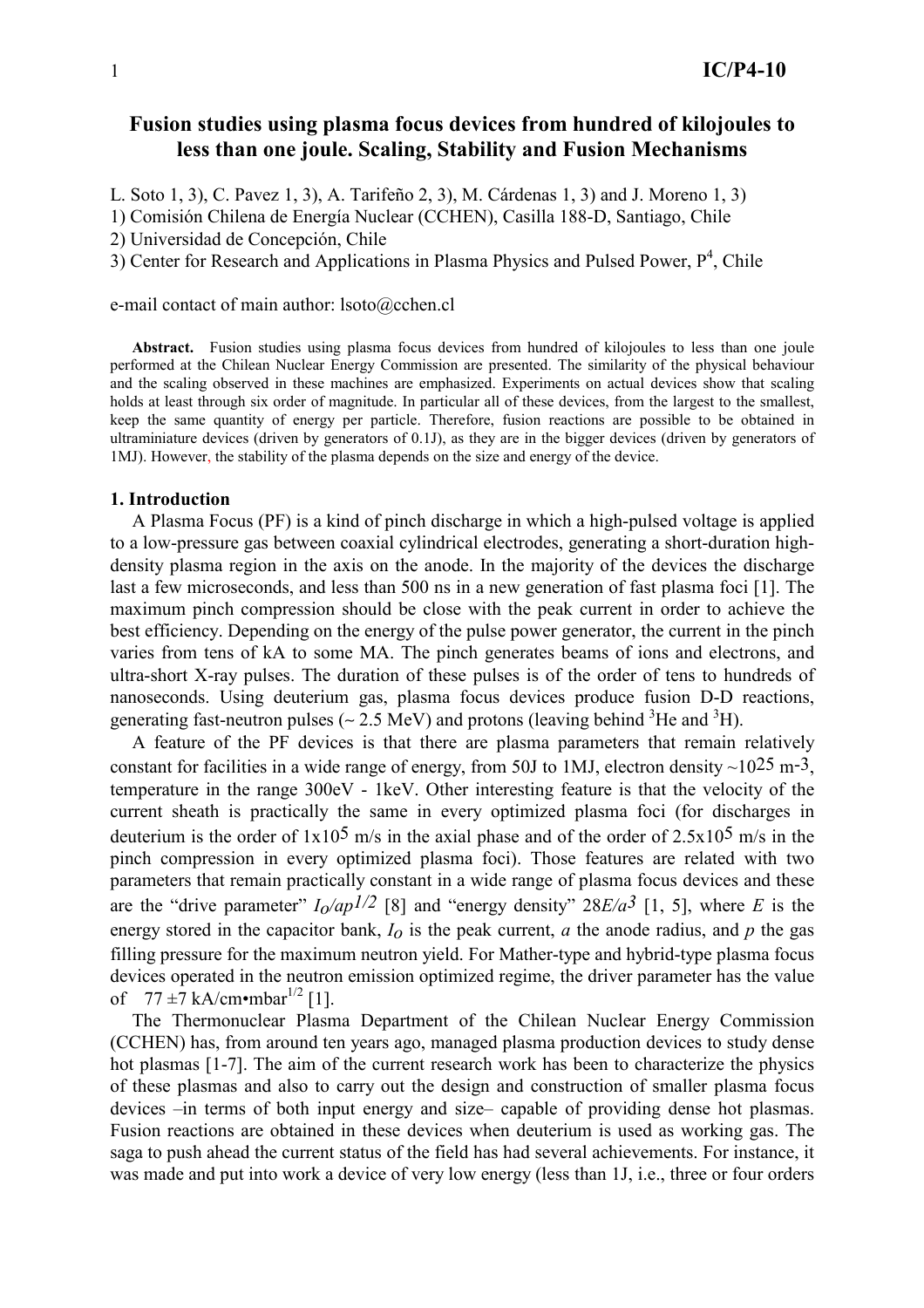# Fusion studies using plasma focus devices from hundred of kilojoules to less than one joule. Scaling, Stability and Fusion Mechanisms

L. Soto 1, 3), C. Pavez 1, 3), A. Tarifeño 2, 3), M. Cárdenas 1, 3) and J. Moreno 1, 3)

1) Comisión Chilena de Energía Nuclear (CCHEN), Casilla 188-D, Santiago, Chile

2) Universidad de Concepción, Chile

3) Center for Research and Applications in Plasma Physics and Pulsed Power,  $P^4$ , Chile

## e-mail contact of main author: lsoto@cchen.cl

Abstract. Fusion studies using plasma focus devices from hundred of kilojoules to less than one joule performed at the Chilean Nuclear Energy Commission are presented. The similarity of the physical behaviour and the scaling observed in these machines are emphasized. Experiments on actual devices show that scaling holds at least through six order of magnitude. In particular all of these devices, from the largest to the smallest, keep the same quantity of energy per particle. Therefore, fusion reactions are possible to be obtained in ultraminiature devices (driven by generators of  $(0.1)$ ), as they are in the bigger devices (driven by generators of 1MJ). However, the stability of the plasma depends on the size and energy of the device.

### 1. Introduction

A Plasma Focus (PF) is a kind of pinch discharge in which a high-pulsed voltage is applied to a low-pressure gas between coaxial cylindrical electrodes, generating a short-duration highdensity plasma region in the axis on the anode. In the majority of the devices the discharge last a few microseconds, and less than 500 ns in a new generation of fast plasma foci [1]. The maximum pinch compression should be close with the peak current in order to achieve the best efficiency. Depending on the energy of the pulse power generator, the current in the pinch varies from tens of kA to some MA. The pinch generates beams of ions and electrons, and ultra-short X-ray pulses. The duration of these pulses is of the order of tens to hundreds of nanoseconds. Using deuterium gas, plasma focus devices produce fusion D-D reactions, generating fast-neutron pulses ( $\sim$  2.5 MeV) and protons (leaving behind <sup>3</sup>He and <sup>3</sup>H).

A feature of the PF devices is that there are plasma parameters that remain relatively constant for facilities in a wide range of energy, from 50J to 1MJ, electron density  $\sim$ 10<sup>25</sup> m<sup>-3</sup>. temperature in the range 300eV - 1keV. Other interesting feature is that the velocity of the current sheath is practically the same in every optimized plasma foci (for discharges in deuterium is the order of  $1x10^5$  m/s in the axial phase and of the order of  $2.5x10^5$  m/s in the pinch compression in every optimized plasma foci). Those features are related with two parameters that remain practically constant in a wide range of plasma focus devices and these are the "drive parameter"  $I_0$ /ap<sup>1/2</sup> [8] and "energy density" 28E/a<sup>3</sup> [1, 5], where E is the energy stored in the capacitor bank,  $I_0$  is the peak current, a the anode radius, and p the gas filling pressure for the maximum neutron yield. For Mather-type and hybrid-type plasma focus devices operated in the neutron emission optimized regime, the driver parameter has the value of  $77 \pm 7$  kA/cm•mbar<sup>1/2</sup> [1]

The Thermonuclear Plasma Department of the Chilean Nuclear Energy Commission (CCHEN) has, from around ten years ago, managed plasma production devices to study dense hot plasmas [1-7]. The aim of the current research work has been to characterize the physics of these plasmas and also to carry out the design and construction of smaller plasma focus devices -in terms of both input energy and size- capable of providing dense hot plasmas. Fusion reactions are obtained in these devices when deuterium is used as working gas. The saga to push ahead the current status of the field has had several achievements. For instance, it was made and put into work a device of very low energy (less than 1J, i.e., three or four orders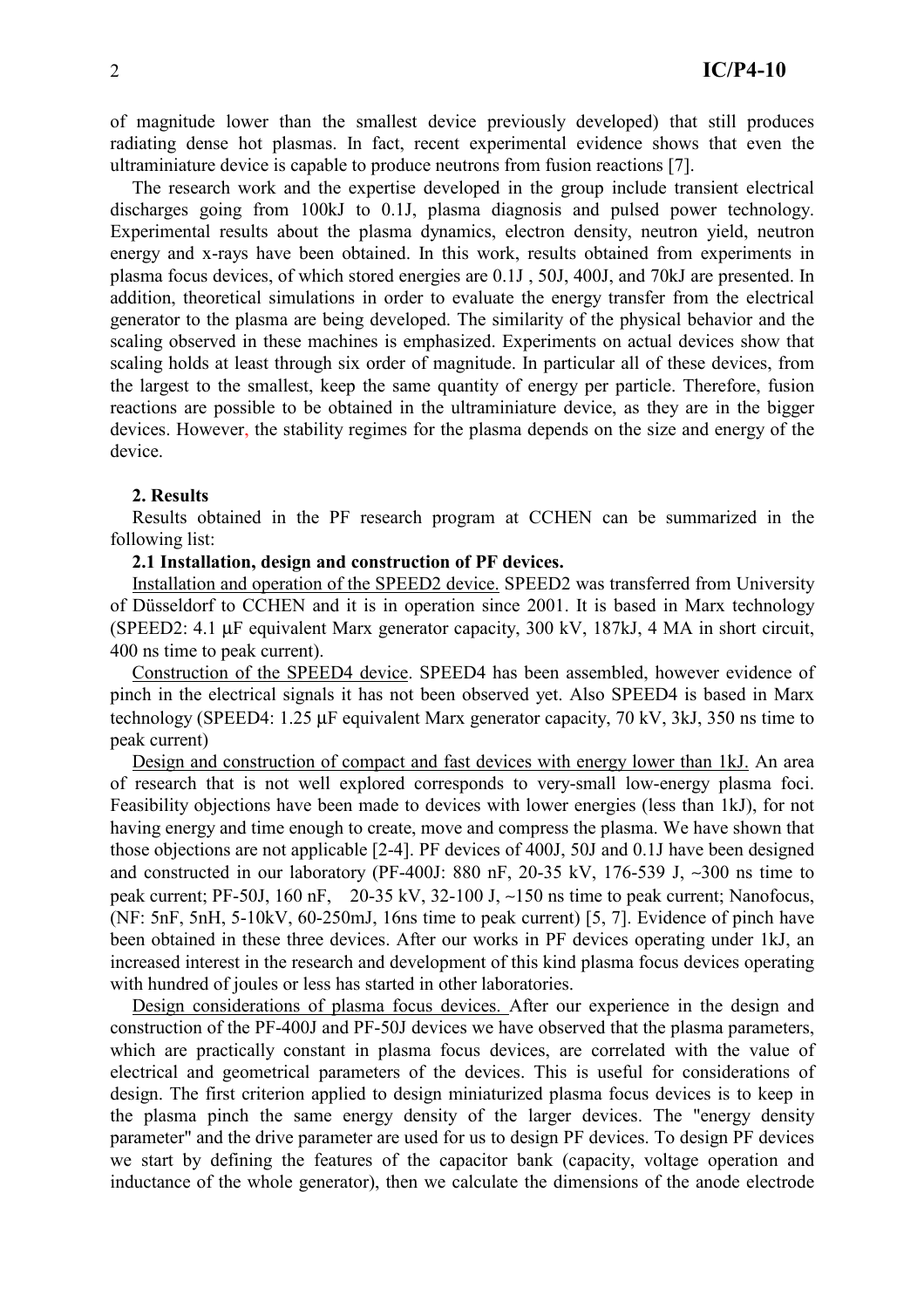of magnitude lower than the smallest device previously developed) that still produces radiating dense hot plasmas. In fact, recent experimental evidence shows that even the ultraminiature device is capable to produce neutrons from fusion reactions [7].

The research work and the expertise developed in the group include transient electrical discharges going from 100kJ to 0.1J, plasma diagnosis and pulsed power technology. Experimental results about the plasma dynamics, electron density, neutron yield, neutron energy and x-rays have been obtained. In this work, results obtained from experiments in plasma focus devices, of which stored energies are 0.1J, 50J, 400J, and 70kJ are presented. In addition, theoretical simulations in order to evaluate the energy transfer from the electrical generator to the plasma are being developed. The similarity of the physical behavior and the scaling observed in these machines is emphasized. Experiments on actual devices show that scaling holds at least through six order of magnitude. In particular all of these devices, from the largest to the smallest, keep the same quantity of energy per particle. Therefore, fusion reactions are possible to be obtained in the ultraminiature device, as they are in the bigger devices. However, the stability regimes for the plasma depends on the size and energy of the device.

## 2. Results

Results obtained in the PF research program at CCHEN can be summarized in the following list:

#### 2.1 Installation, design and construction of PF devices.

Installation and operation of the SPEED2 device. SPEED2 was transferred from University of Düsseldorf to CCHEN and it is in operation since 2001. It is based in Marx technology (SPEED2: 4.1 µF equivalent Marx generator capacity, 300 kV, 187kJ, 4 MA in short circuit, 400 ns time to peak current).

Construction of the SPEED4 device. SPEED4 has been assembled, however evidence of pinch in the electrical signals it has not been observed yet. Also SPEED4 is based in Marx technology (SPEED4: 1.25 µF equivalent Marx generator capacity, 70 kV, 3kJ, 350 ns time to peak current)

Design and construction of compact and fast devices with energy lower than 1kJ. An area of research that is not well explored corresponds to very-small low-energy plasma foci. Feasibility objections have been made to devices with lower energies (less than 1kJ), for not having energy and time enough to create, move and compress the plasma. We have shown that those objections are not applicable [2-4]. PF devices of 400J, 50J and 0.1J have been designed and constructed in our laboratory (PF-400J: 880 nF, 20-35 kV, 176-539 J, ~300 ns time to peak current: PF-50J, 160 nF, 20-35 kV, 32-100 J,  $\sim$ 150 ns time to peak current: Nanofocus, (NF: 5nF, 5nH, 5-10kV, 60-250mJ, 16ns time to peak current) [5, 7]. Evidence of pinch have been obtained in these three devices. After our works in PF devices operating under 1kJ, an increased interest in the research and development of this kind plasma focus devices operating with hundred of joules or less has started in other laboratories.

Design considerations of plasma focus devices. After our experience in the design and construction of the PF-400J and PF-50J devices we have observed that the plasma parameters. which are practically constant in plasma focus devices, are correlated with the value of electrical and geometrical parameters of the devices. This is useful for considerations of design. The first criterion applied to design miniaturized plasma focus devices is to keep in the plasma pinch the same energy density of the larger devices. The "energy density" parameter" and the drive parameter are used for us to design PF devices. To design PF devices we start by defining the features of the capacitor bank (capacity, voltage operation and inductance of the whole generator), then we calculate the dimensions of the anode electrode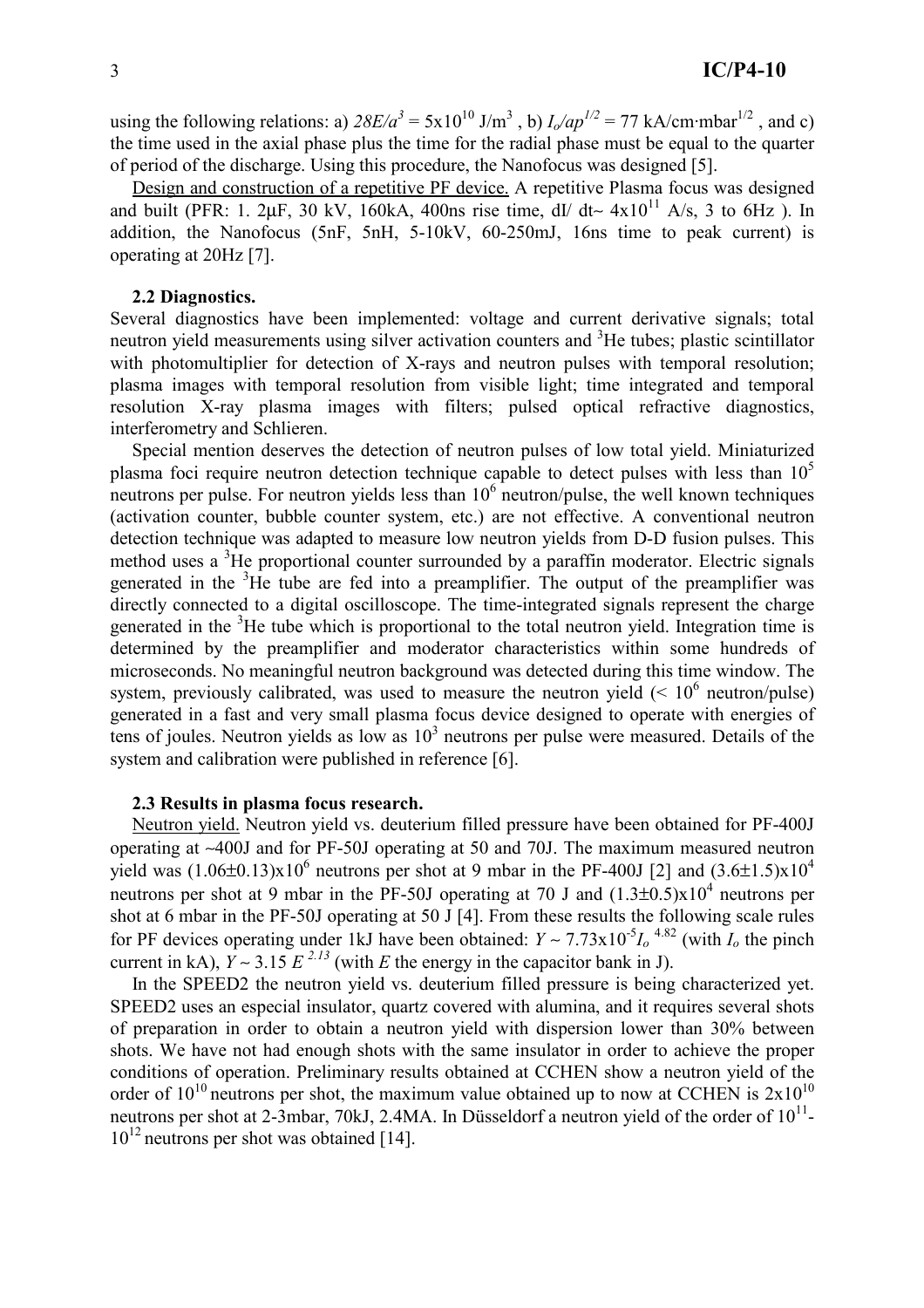using the following relations: a)  $28E/a^3 = 5x10^{10}$  J/m<sup>3</sup>, b)  $I_0/ap^{1/2} = 77$  kA/cm·mbar<sup>1/2</sup>, and c) the time used in the axial phase plus the time for the radial phase must be equal to the quarter of period of the discharge. Using this procedure, the Nanofocus was designed [5].

Design and construction of a repetitive PF device. A repetitive Plasma focus was designed and built (PFR: 1. 2 $\mu$ F, 30 kV, 160kA, 400ns rise time, dI/ dt~ 4x10<sup>11</sup> A/s, 3 to 6Hz). In addition, the Nanofocus (5nF, 5nH, 5-10kV, 60-250mJ, 16ns time to peak current) is operating at 20Hz [7].

## 2.2 Diagnostics.

Several diagnostics have been implemented: voltage and current derivative signals; total neutron yield measurements using silver activation counters and <sup>3</sup>He tubes; plastic scintillator with photomultiplier for detection of X-rays and neutron pulses with temporal resolution; plasma images with temporal resolution from visible light; time integrated and temporal resolution X-ray plasma images with filters; pulsed optical refractive diagnostics, interferometry and Schlieren.

Special mention deserves the detection of neutron pulses of low total vield. Miniaturized plasma foci require neutron detection technique capable to detect pulses with less than  $10^5$ neutrons per pulse. For neutron yields less than  $10<sup>6</sup>$  neutron/pulse, the well known techniques (activation counter, bubble counter system, etc.) are not effective. A conventional neutron detection technique was adapted to measure low neutron yields from D-D fusion pulses. This method uses a <sup>3</sup>He proportional counter surrounded by a paraffin moderator. Electric signals generated in the <sup>3</sup>He tube are fed into a preamplifier. The output of the preamplifier was directly connected to a digital oscilloscope. The time-integrated signals represent the charge generated in the  ${}^{3}$ He tube which is proportional to the total neutron vield. Integration time is determined by the preamplifier and moderator characteristics within some hundreds of microseconds. No meaningful neutron background was detected during this time window. The system, previously calibrated, was used to measure the neutron yield  $(< 10^6$  neutron/pulse) generated in a fast and very small plasma focus device designed to operate with energies of tens of joules. Neutron yields as low as  $10<sup>3</sup>$  neutrons per pulse were measured. Details of the system and calibration were published in reference [6].

#### 2.3 Results in plasma focus research.

Neutron yield. Neutron yield vs. deuterium filled pressure have been obtained for PF-400J operating at ~400J and for PF-50J operating at 50 and 70J. The maximum measured neutron yield was  $(1.06\pm0.13)x10^6$  neutrons per shot at 9 mbar in the PF-400J [2] and  $(3.6\pm1.5)x10^4$ neutrons per shot at 9 mbar in the PF-50J operating at 70 J and  $(1.3\pm0.5)x10^4$  neutrons per shot at 6 mbar in the PF-50J operating at 50 J [4]. From these results the following scale rules for PF devices operating under 1kJ have been obtained:  $Y \sim 7.73 \times 10^{-5} I_0^{-4.82}$  (with  $I_0$  the pinch current in kA).  $Y \sim 3.15 E^{2.13}$  (with E the energy in the capacitor bank in J).

In the SPEED2 the neutron yield vs. deuterium filled pressure is being characterized yet. SPEED2 uses an especial insulator, quartz covered with alumina, and it requires several shots of preparation in order to obtain a neutron yield with dispersion lower than 30% between shots. We have not had enough shots with the same insulator in order to achieve the proper conditions of operation. Preliminary results obtained at CCHEN show a neutron yield of the order of  $10^{10}$  neutrons per shot, the maximum value obtained up to now at CCHEN is  $2x10^{10}$ neutrons per shot at 2-3mbar, 70kJ, 2.4MA. In Düsseldorf a neutron yield of the order of  $10^{11}$ - $10^{12}$  neutrons per shot was obtained [14].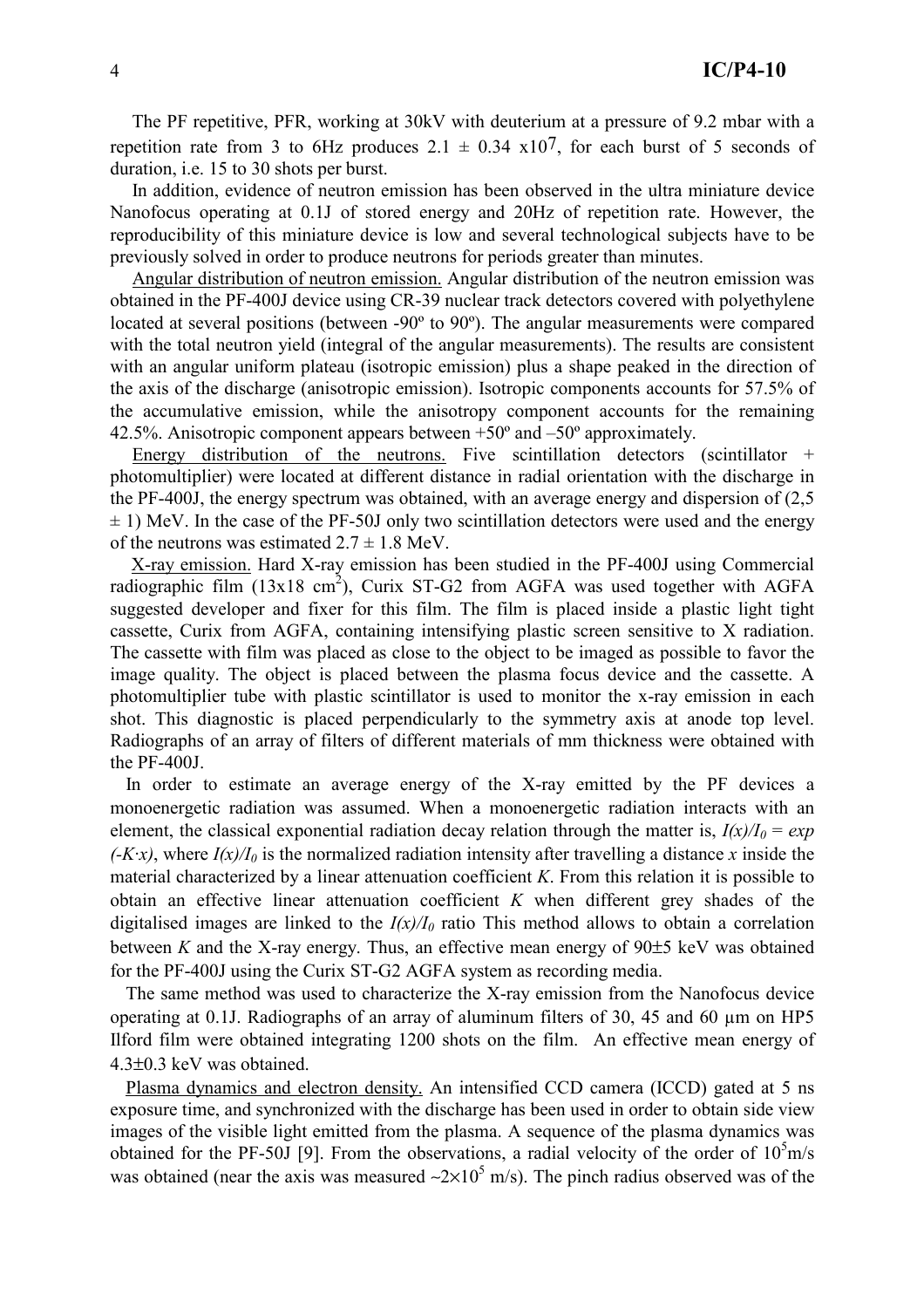The PF repetitive, PFR, working at 30kV with deuterium at a pressure of 9.2 mbar with a repetition rate from 3 to 6Hz produces  $2.1 \pm 0.34 \times 10^{7}$ , for each burst of 5 seconds of duration, i.e. 15 to 30 shots per burst.

In addition, evidence of neutron emission has been observed in the ultra miniature device Nanofocus operating at 0.1J of stored energy and 20Hz of repetition rate. However, the reproducibility of this miniature device is low and several technological subjects have to be previously solved in order to produce neutrons for periods greater than minutes.

Angular distribution of neutron emission. Angular distribution of the neutron emission was obtained in the PF-400J device using CR-39 nuclear track detectors covered with polyethylene located at several positions (between -90° to 90°). The angular measurements were compared with the total neutron yield (integral of the angular measurements). The results are consistent with an angular uniform plateau (isotropic emission) plus a shape peaked in the direction of the axis of the discharge (anisotropic emission). Isotropic components accounts for 57.5% of the accumulative emission, while the anisotropy component accounts for the remaining 42.5%. Anisotropic component appears between  $+50^{\circ}$  and  $-50^{\circ}$  approximately.

Energy distribution of the neutrons. Five scintillation detectors (scintillator  $+$ photomultiplier) were located at different distance in radial orientation with the discharge in the PF-400J, the energy spectrum was obtained, with an average energy and dispersion of  $(2.5)$  $\pm$  1) MeV. In the case of the PF-50J only two scintillation detectors were used and the energy of the neutrons was estimated  $2.7 \pm 1.8$  MeV.

X-ray emission. Hard X-ray emission has been studied in the PF-400J using Commercial radiographic film  $(13x18 \text{ cm}^2)$ , Curix ST-G2 from AGFA was used together with AGFA suggested developer and fixer for this film. The film is placed inside a plastic light tight cassette, Curix from AGFA, containing intensifying plastic screen sensitive to X radiation. The cassette with film was placed as close to the object to be imaged as possible to favor the image quality. The object is placed between the plasma focus device and the cassette. A photomultiplier tube with plastic scintillator is used to monitor the x-ray emission in each shot. This diagnostic is placed perpendicularly to the symmetry axis at anode top level. Radiographs of an array of filters of different materials of mm thickness were obtained with the  $PF-400J$ .

In order to estimate an average energy of the X-ray emitted by the PF devices a monoenergetic radiation was assumed. When a monoenergetic radiation interacts with an element, the classical exponential radiation decay relation through the matter is,  $I(x)/I_0 = exp$  $(-Kx)$ , where  $I(x)/I_0$  is the normalized radiation intensity after travelling a distance x inside the material characterized by a linear attenuation coefficient  $K$ . From this relation it is possible to obtain an effective linear attenuation coefficient  $K$  when different grey shades of the digitalised images are linked to the  $I(x)/I_0$  ratio This method allows to obtain a correlation between K and the X-ray energy. Thus, an effective mean energy of  $90±5$  keV was obtained for the PF-400J using the Curix ST-G2 AGFA system as recording media.

The same method was used to characterize the X-ray emission from the Nanofocus device operating at 0.1J. Radiographs of an array of aluminum filters of 30, 45 and 60 um on HP5 Ilford film were obtained integrating 1200 shots on the film. An effective mean energy of  $4.3\pm0.3$  keV was obtained.

Plasma dynamics and electron density. An intensified CCD camera (ICCD) gated at 5 ns exposure time, and synchronized with the discharge has been used in order to obtain side view images of the visible light emitted from the plasma. A sequence of the plasma dynamics was obtained for the PF-50J [9]. From the observations, a radial velocity of the order of  $10^5$ m/s was obtained (near the axis was measured  $\approx 2 \times 10^5$  m/s). The pinch radius observed was of the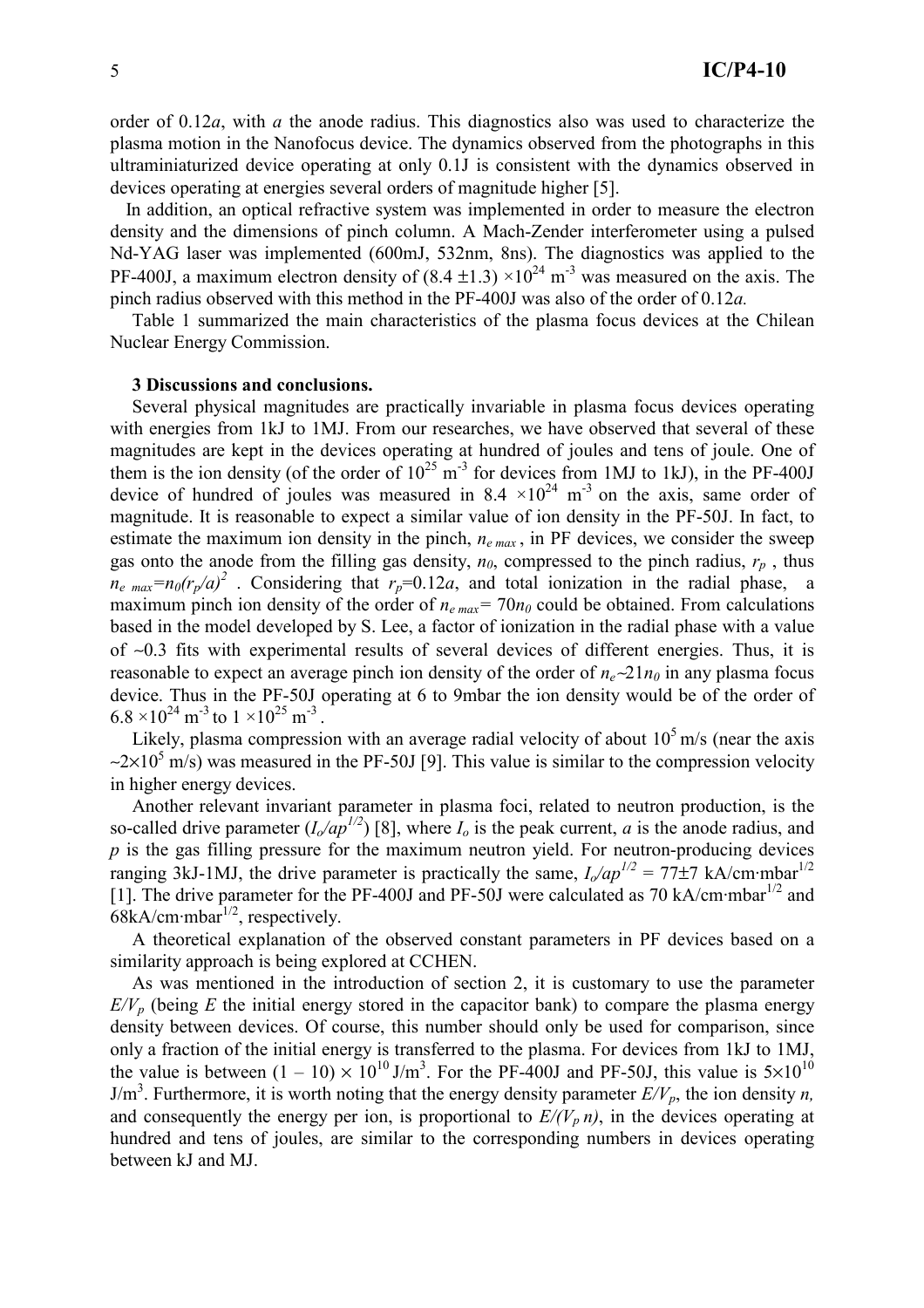order of  $0.12a$ , with a the anode radius. This diagnostics also was used to characterize the plasma motion in the Nanofocus device. The dynamics observed from the photographs in this ultraminiaturized device operating at only 0.1J is consistent with the dynamics observed in devices operating at energies several orders of magnitude higher [5].

In addition, an optical refractive system was implemented in order to measure the electron density and the dimensions of pinch column. A Mach-Zender interferometer using a pulsed Nd-YAG laser was implemented (600mJ, 532nm, 8ns). The diagnostics was applied to the PF-400J, a maximum electron density of  $(8.4 \pm 1.3) \times 10^{24}$  m<sup>-3</sup> was measured on the axis. The pinch radius observed with this method in the PF-400J was also of the order of  $0.12a$ .

Table 1 summarized the main characteristics of the plasma focus devices at the Chilean Nuclear Energy Commission.

#### 3 Discussions and conclusions.

Several physical magnitudes are practically invariable in plasma focus devices operating with energies from 1kJ to 1MJ. From our researches, we have observed that several of these magnitudes are kept in the devices operating at hundred of joules and tens of joule. One of them is the ion density (of the order of  $10^{25}$  m<sup>-3</sup> for devices from 1MJ to 1kJ), in the PF-400J device of hundred of joules was measured in 8.4  $\times$ 10<sup>24</sup> m<sup>-3</sup> on the axis, same order of magnitude. It is reasonable to expect a similar value of ion density in the PF-50J. In fact, to estimate the maximum ion density in the pinch,  $n_{e max}$ , in PF devices, we consider the sweep gas onto the anode from the filling gas density,  $n_0$ , compressed to the pinch radius,  $r_p$ , thus  $n_e$ <sub>max</sub>= $n_0(r_p/a)^2$ . Considering that  $r_p$ =0.12a, and total ionization in the radial phase, a maximum pinch ion density of the order of  $n_{e max}$  = 70 $n_0$  could be obtained. From calculations based in the model developed by S. Lee, a factor of ionization in the radial phase with a value of  $\sim 0.3$  fits with experimental results of several devices of different energies. Thus, it is reasonable to expect an average pinch ion density of the order of  $n_e \sim 21 n_0$  in any plasma focus device. Thus in the PF-50J operating at 6 to 9mbar the ion density would be of the order of  $6.8 \times 10^{24}$  m<sup>-3</sup> to 1  $\times 10^{25}$  m<sup>-3</sup>.

Likely, plasma compression with an average radial velocity of about  $10^5$  m/s (near the axis  $\approx$  2×10<sup>5</sup> m/s) was measured in the PF-50J [9]. This value is similar to the compression velocity in higher energy devices.

Another relevant invariant parameter in plasma foci, related to neutron production, is the so-called drive parameter  $(I_0/a p^{1/2})$  [8], where  $I_0$  is the peak current, a is the anode radius, and  $p$  is the gas filling pressure for the maximum neutron yield. For neutron-producing devices ranging 3kJ-1MJ, the drive parameter is practically the same,  $I_0$ /ap<sup>1/2</sup> = 77±7 kA/cm·mbar<sup>1/2</sup> [1]. The drive parameter for the PF-400J and PF-50J were calculated as 70 kA/cm·mbar<sup>1/2</sup> and  $68kA/cm \cdot mbar^{1/2}$ , respectively.

A theoretical explanation of the observed constant parameters in PF devices based on a similarity approach is being explored at CCHEN.

As was mentioned in the introduction of section 2, it is customary to use the parameter  $E/V_p$  (being E the initial energy stored in the capacitor bank) to compare the plasma energy density between devices. Of course, this number should only be used for comparison, since only a fraction of the initial energy is transferred to the plasma. For devices from 1kJ to 1MJ, the value is between  $(1 - 10) \times 10^{10}$  J/m<sup>3</sup>. For the PF-400J and PF-50J, this value is  $5 \times 10^{10}$  $J/m<sup>3</sup>$ . Furthermore, it is worth noting that the energy density parameter  $E/V_p$ , the ion density *n*, and consequently the energy per ion, is proportional to  $E/(V_p n)$ , in the devices operating at hundred and tens of joules, are similar to the corresponding numbers in devices operating between kJ and MJ.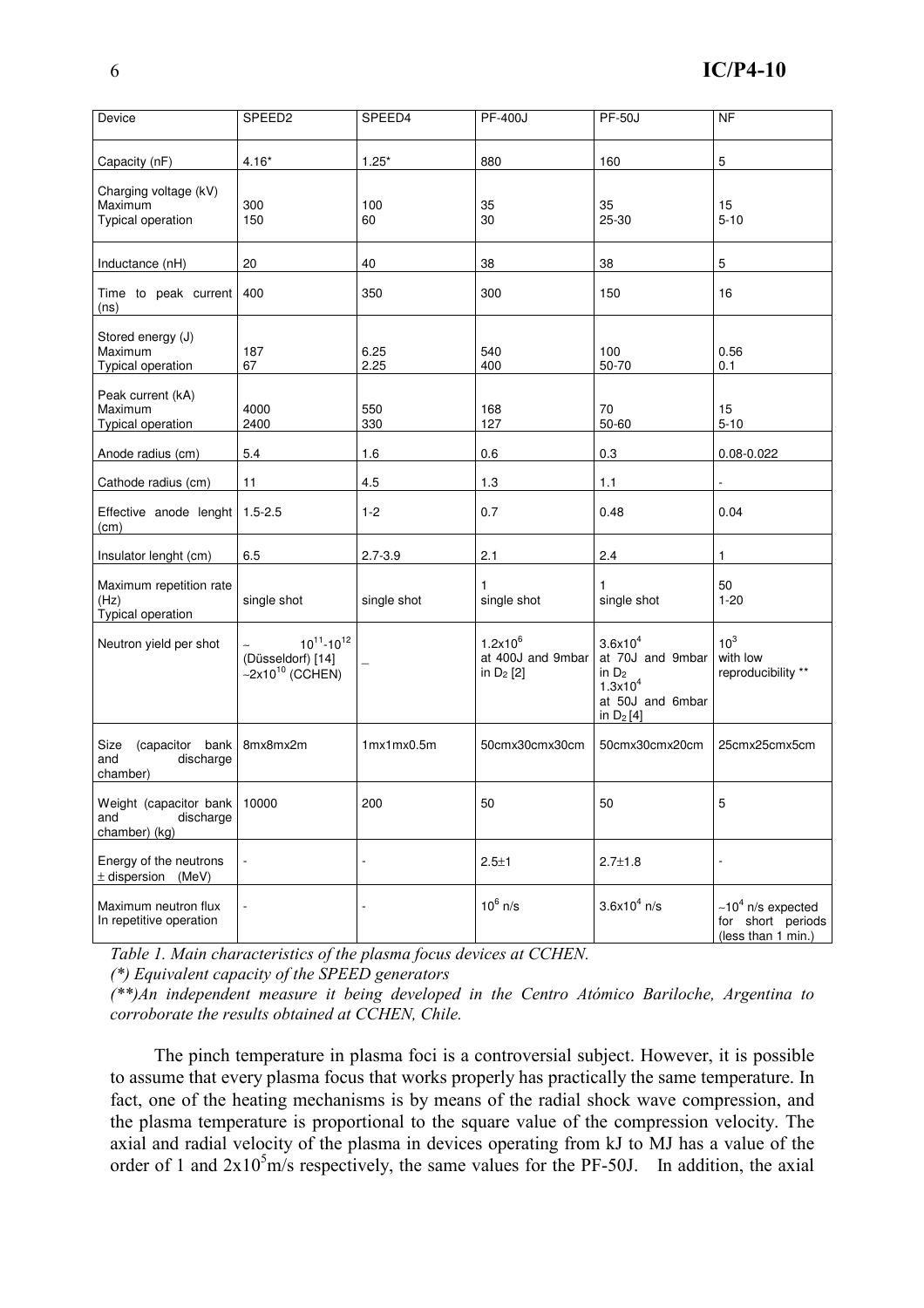| Device                                                            | SPEED <sub>2</sub>                                                            | SPEED4         | <b>PF-400J</b>                                  | <b>PF-50J</b>                                                                                          | N <sub>F</sub>                                                  |
|-------------------------------------------------------------------|-------------------------------------------------------------------------------|----------------|-------------------------------------------------|--------------------------------------------------------------------------------------------------------|-----------------------------------------------------------------|
|                                                                   |                                                                               |                |                                                 |                                                                                                        |                                                                 |
| Capacity (nF)                                                     | $4.16*$                                                                       | $1.25*$        | 880                                             | 160                                                                                                    | 5                                                               |
| Charging voltage (kV)<br>Maximum<br>Typical operation             | 300<br>150                                                                    | 100<br>60      | 35<br>30                                        | 35<br>25-30                                                                                            | 15<br>$5 - 10$                                                  |
| Inductance (nH)                                                   | 20                                                                            | 40             | 38                                              | 38                                                                                                     | 5                                                               |
| Time to peak current<br>(ns)                                      | 400                                                                           | 350            | 300                                             | 150                                                                                                    | 16                                                              |
| Stored energy (J)<br>Maximum<br><b>Typical operation</b>          | 187<br>67                                                                     | 6.25<br>2.25   | 540<br>400                                      | 100<br>50-70                                                                                           | 0.56<br>0.1                                                     |
| Peak current (kA)<br>Maximum<br>Typical operation                 | 4000<br>2400                                                                  | 550<br>330     | 168<br>127                                      | 70<br>50-60                                                                                            | 15<br>$5 - 10$                                                  |
| Anode radius (cm)                                                 | 5.4                                                                           | 1.6            | 0.6                                             | 0.3                                                                                                    | $0.08 - 0.022$                                                  |
| Cathode radius (cm)                                               | 11                                                                            | 4.5            | 1.3                                             | 1.1                                                                                                    |                                                                 |
| Effective anode lenght 1.5-2.5<br>(cm)                            |                                                                               | $1 - 2$        | 0.7                                             | 0.48                                                                                                   | 0.04                                                            |
| Insulator lenght (cm)                                             | 6.5                                                                           | $2.7 - 3.9$    | 2.1                                             | 2.4                                                                                                    | 1                                                               |
| Maximum repetition rate<br>(Hz)<br>Typical operation              | single shot                                                                   | single shot    | single shot                                     | single shot                                                                                            | 50<br>$1 - 20$                                                  |
| Neutron yield per shot                                            | $10^{11} - 10^{12}$<br>(Düsseldorf) [14]<br>$\sim$ 2x10 <sup>10</sup> (CCHEN) |                | $1.2x10^6$<br>at 400J and 9mbar<br>in $D_2$ [2] | 3.6x10 <sup>4</sup><br>at 70J and 9mbar<br>in $D_2$<br>$1.3x10^{4}$<br>at 50J and 6mbar<br>in $D_2[4]$ | 10 <sup>3</sup><br>with low<br>reproducibility **               |
| Size<br>(capacitor bank<br>and<br>discharge<br>chamber)           | 8mx8mx2m                                                                      | 1mx1mx0.5m     | 50cmx30cmx30cm                                  | 50cmx30cmx20cm                                                                                         | 25cmx25cmx5cm                                                   |
| Weight (capacitor bank 10000<br>discharge<br>and<br>chamber) (kg) |                                                                               | 200            | 50                                              | 50                                                                                                     | 5                                                               |
| Energy of the neutrons<br>$\pm$ dispersion<br>(MeV)               |                                                                               | $\blacksquare$ | $2.5 + 1$                                       | $2.7 \pm 1.8$                                                                                          |                                                                 |
| Maximum neutron flux<br>In repetitive operation                   |                                                                               |                | $10^6$ n/s                                      | $3.6x10^4$ n/s                                                                                         | $~10^4$ n/s expected<br>for short periods<br>(less than 1 min.) |

Table 1. Main characteristics of the plasma focus devices at CCHEN.

(\*) Equivalent capacity of the SPEED generators

 $(**)$ An independent measure it being developed in the Centro Atómico Bariloche, Argentina to corroborate the results obtained at CCHEN, Chile.

The pinch temperature in plasma foci is a controversial subject. However, it is possible to assume that every plasma focus that works properly has practically the same temperature. In fact, one of the heating mechanisms is by means of the radial shock wave compression, and the plasma temperature is proportional to the square value of the compression velocity. The axial and radial velocity of the plasma in devices operating from kJ to MJ has a value of the order of 1 and  $2x10<sup>5</sup>$  m/s respectively, the same values for the PF-50J. In addition, the axial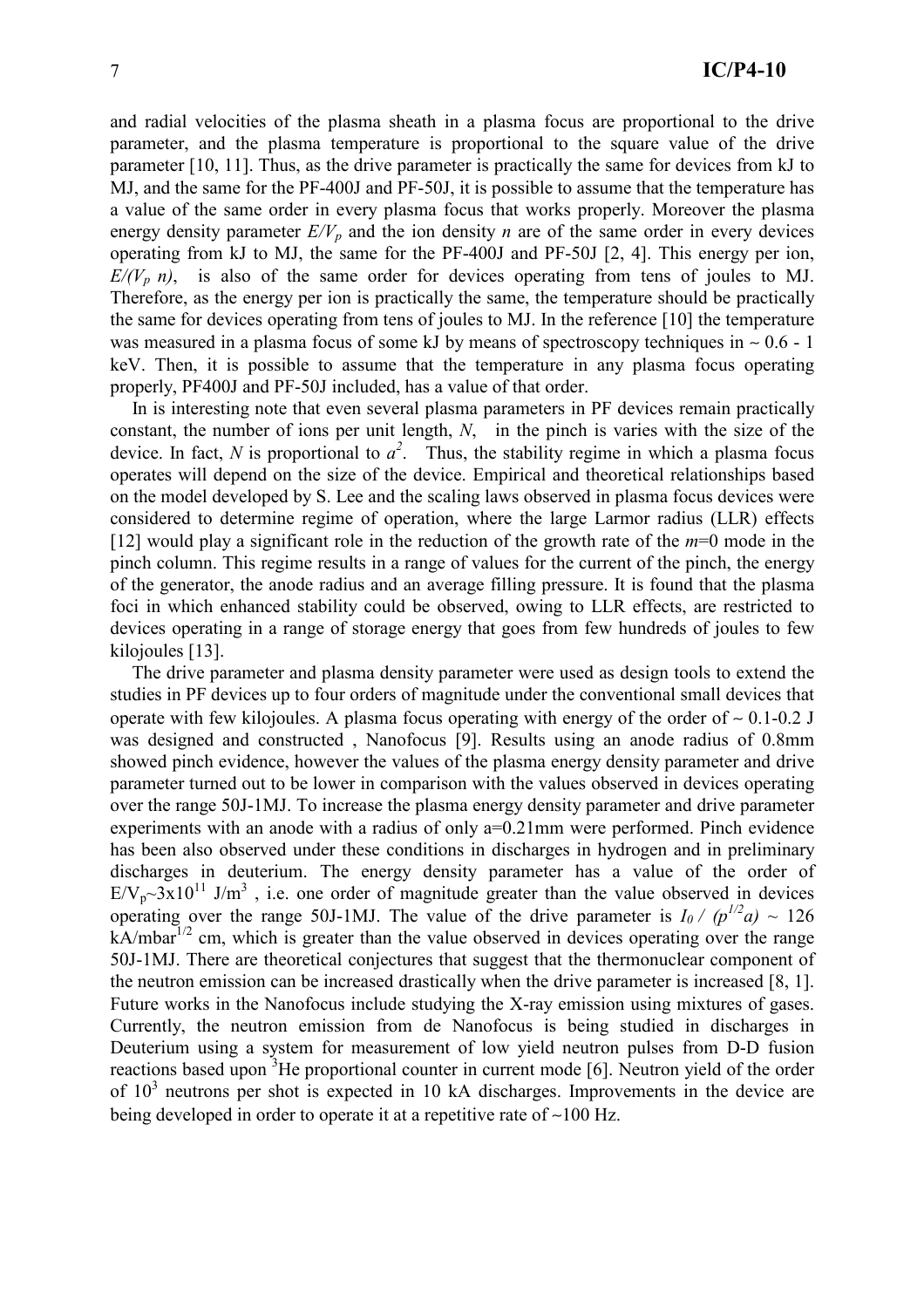and radial velocities of the plasma sheath in a plasma focus are proportional to the drive parameter, and the plasma temperature is proportional to the square value of the drive parameter [10, 11]. Thus, as the drive parameter is practically the same for devices from kJ to MJ, and the same for the PF-400J and PF-50J, it is possible to assume that the temperature has a value of the same order in every plasma focus that works properly. Moreover the plasma energy density parameter  $E/V_p$  and the ion density *n* are of the same order in every devices operating from kJ to MJ, the same for the PF-400J and PF-50J [2, 4]. This energy per ion,  $E/(V_p n)$ , is also of the same order for devices operating from tens of joules to MJ. Therefore, as the energy per ion is practically the same, the temperature should be practically the same for devices operating from tens of joules to MJ. In the reference [10] the temperature was measured in a plasma focus of some kJ by means of spectroscopy techniques in  $\sim 0.6 - 1$ keV. Then, it is possible to assume that the temperature in any plasma focus operating properly, PF400J and PF-50J included, has a value of that order.

In is interesting note that even several plasma parameters in PF devices remain practically constant, the number of ions per unit length,  $N$ , in the pinch is varies with the size of the device. In fact, N is proportional to  $a^2$ . Thus, the stability regime in which a plasma focus operates will depend on the size of the device. Empirical and theoretical relationships based on the model developed by S. Lee and the scaling laws observed in plasma focus devices were considered to determine regime of operation, where the large Larmor radius (LLR) effects [12] would play a significant role in the reduction of the growth rate of the  $m=0$  mode in the pinch column. This regime results in a range of values for the current of the pinch, the energy of the generator, the anode radius and an average filling pressure. It is found that the plasma foci in which enhanced stability could be observed, owing to LLR effects, are restricted to devices operating in a range of storage energy that goes from few hundreds of joules to few kilojoules  $[13]$ .

The drive parameter and plasma density parameter were used as design tools to extend the studies in PF devices up to four orders of magnitude under the conventional small devices that operate with few kilojoules. A plasma focus operating with energy of the order of  $\sim 0.1$ -0.2 J was designed and constructed. Nanofocus [9]. Results using an anode radius of 0.8mm showed pinch evidence, however the values of the plasma energy density parameter and drive parameter turned out to be lower in comparison with the values observed in devices operating over the range 50J-1MJ. To increase the plasma energy density parameter and drive parameter experiments with an anode with a radius of only a=0.21mm were performed. Pinch evidence has been also observed under these conditions in discharges in hydrogen and in preliminary discharges in deuterium. The energy density parameter has a value of the order of  $E/V_p \sim 3x10^{11}$  J/m<sup>3</sup>, i.e. one order of magnitude greater than the value observed in devices operating over the range 50J-1MJ. The value of the drive parameter is  $I_0 / (p^{1/2}a) \sim 126$  $kA/mbar<sup>1/2</sup>$  cm, which is greater than the value observed in devices operating over the range 50J-1MJ. There are theoretical conjectures that suggest that the thermonuclear component of the neutron emission can be increased drastically when the drive parameter is increased [8, 1]. Future works in the Nanofocus include studying the X-ray emission using mixtures of gases. Currently, the neutron emission from de Nanofocus is being studied in discharges in Deuterium using a system for measurement of low yield neutron pulses from D-D fusion reactions based upon <sup>3</sup>He proportional counter in current mode [6]. Neutron yield of the order of  $10<sup>3</sup>$  neutrons per shot is expected in 10 kA discharges. Improvements in the device are being developed in order to operate it at a repetitive rate of  $\sim$ 100 Hz.